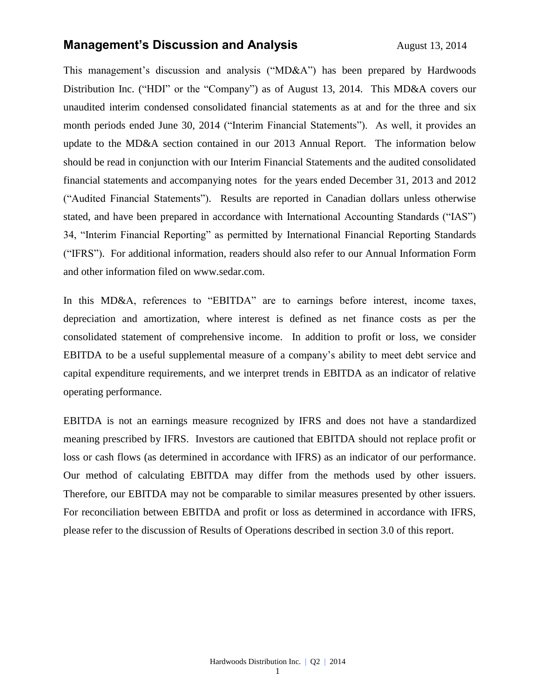## **Management's Discussion and Analysis** Management's Discussion and Analysis

This management's discussion and analysis ("MD&A") has been prepared by Hardwoods Distribution Inc. ("HDI" or the "Company") as of August 13, 2014. This MD&A covers our unaudited interim condensed consolidated financial statements as at and for the three and six month periods ended June 30, 2014 ("Interim Financial Statements"). As well, it provides an update to the MD&A section contained in our 2013 Annual Report. The information below should be read in conjunction with our Interim Financial Statements and the audited consolidated financial statements and accompanying notes for the years ended December 31, 2013 and 2012 ("Audited Financial Statements"). Results are reported in Canadian dollars unless otherwise stated, and have been prepared in accordance with International Accounting Standards ("IAS") 34, "Interim Financial Reporting" as permitted by International Financial Reporting Standards ("IFRS"). For additional information, readers should also refer to our Annual Information Form and other information filed on [www.sedar.com.](http://www.sedar.com/)

In this MD&A, references to "EBITDA" are to earnings before interest, income taxes, depreciation and amortization, where interest is defined as net finance costs as per the consolidated statement of comprehensive income. In addition to profit or loss, we consider EBITDA to be a useful supplemental measure of a company's ability to meet debt service and capital expenditure requirements, and we interpret trends in EBITDA as an indicator of relative operating performance.

EBITDA is not an earnings measure recognized by IFRS and does not have a standardized meaning prescribed by IFRS. Investors are cautioned that EBITDA should not replace profit or loss or cash flows (as determined in accordance with IFRS) as an indicator of our performance. Our method of calculating EBITDA may differ from the methods used by other issuers. Therefore, our EBITDA may not be comparable to similar measures presented by other issuers. For reconciliation between EBITDA and profit or loss as determined in accordance with IFRS, please refer to the discussion of Results of Operations described in section 3.0 of this report.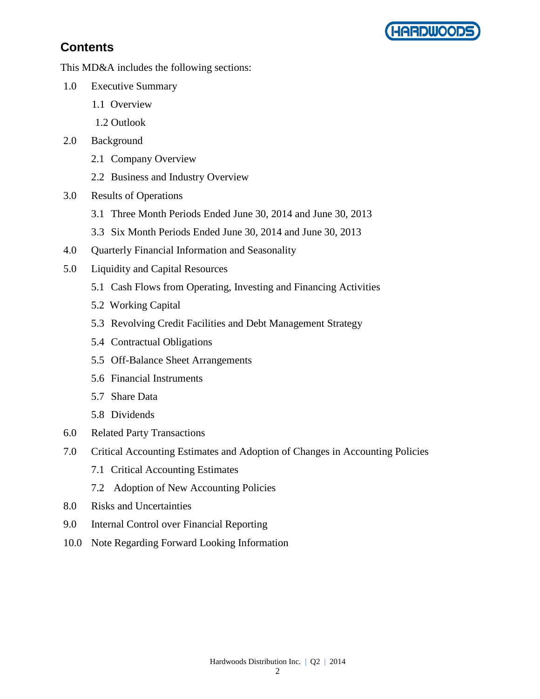

# **Contents**

This MD&A includes the following sections:

- 1.0 Executive Summary
	- 1.1 Overview
	- 1.2 Outlook
- 2.0 Background
	- 2.1 Company Overview
	- 2.2 Business and Industry Overview
- 3.0 Results of Operations
	- 3.1 Three Month Periods Ended June 30, 2014 and June 30, 2013
	- 3.3 Six Month Periods Ended June 30, 2014 and June 30, 2013
- 4.0 Quarterly Financial Information and Seasonality
- 5.0 Liquidity and Capital Resources
	- 5.1 Cash Flows from Operating, Investing and Financing Activities
	- 5.2 Working Capital
	- 5.3 Revolving Credit Facilities and Debt Management Strategy
	- 5.4 Contractual Obligations
	- 5.5 Off-Balance Sheet Arrangements
	- 5.6 Financial Instruments
	- 5.7 Share Data
	- 5.8 Dividends
- 6.0 Related Party Transactions
- 7.0 Critical Accounting Estimates and Adoption of Changes in Accounting Policies
	- 7.1 Critical Accounting Estimates
	- 7.2 Adoption of New Accounting Policies
- 8.0 Risks and Uncertainties
- 9.0 Internal Control over Financial Reporting
- 10.0 Note Regarding Forward Looking Information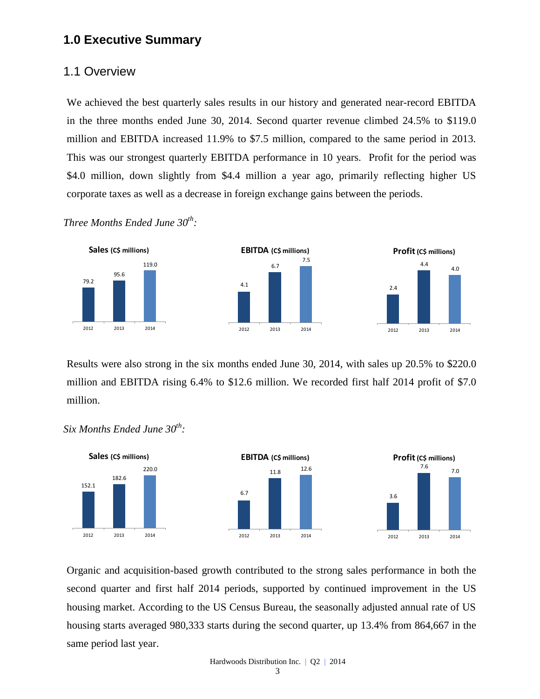## **1.0 Executive Summary**

#### 1.1 Overview

We achieved the best quarterly sales results in our history and generated near-record EBITDA in the three months ended June 30, 2014. Second quarter revenue climbed 24.5% to \$119.0 million and EBITDA increased 11.9% to \$7.5 million, compared to the same period in 2013. This was our strongest quarterly EBITDA performance in 10 years. Profit for the period was \$4.0 million, down slightly from \$4.4 million a year ago, primarily reflecting higher US corporate taxes as well as a decrease in foreign exchange gains between the periods.

*Three Months Ended June 30th :*



Results were also strong in the six months ended June 30, 2014, with sales up 20.5% to \$220.0 million and EBITDA rising 6.4% to \$12.6 million. We recorded first half 2014 profit of \$7.0 million.



Organic and acquisition-based growth contributed to the strong sales performance in both the second quarter and first half 2014 periods, supported by continued improvement in the US housing market. According to the US Census Bureau, the seasonally adjusted annual rate of US housing starts averaged 980,333 starts during the second quarter, up 13.4% from 864,667 in the same period last year.

*Six Months Ended June 30th :*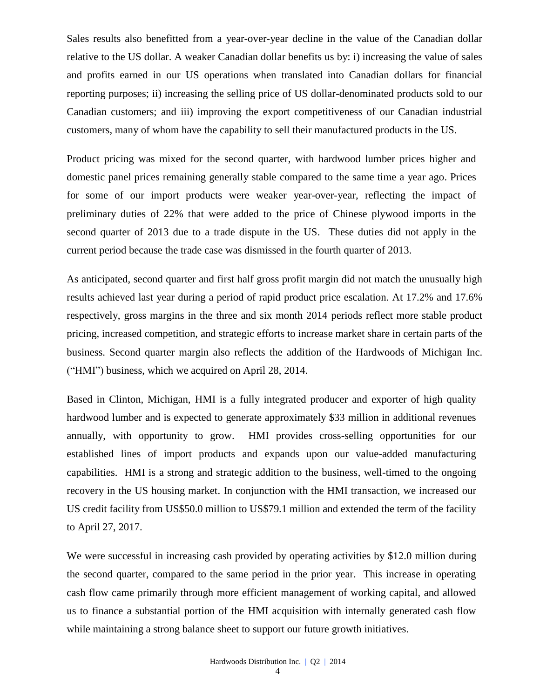Sales results also benefitted from a year-over-year decline in the value of the Canadian dollar relative to the US dollar. A weaker Canadian dollar benefits us by: i) increasing the value of sales and profits earned in our US operations when translated into Canadian dollars for financial reporting purposes; ii) increasing the selling price of US dollar-denominated products sold to our Canadian customers; and iii) improving the export competitiveness of our Canadian industrial customers, many of whom have the capability to sell their manufactured products in the US.

Product pricing was mixed for the second quarter, with hardwood lumber prices higher and domestic panel prices remaining generally stable compared to the same time a year ago. Prices for some of our import products were weaker year-over-year, reflecting the impact of preliminary duties of 22% that were added to the price of Chinese plywood imports in the second quarter of 2013 due to a trade dispute in the US. These duties did not apply in the current period because the trade case was dismissed in the fourth quarter of 2013.

As anticipated, second quarter and first half gross profit margin did not match the unusually high results achieved last year during a period of rapid product price escalation. At 17.2% and 17.6% respectively, gross margins in the three and six month 2014 periods reflect more stable product pricing, increased competition, and strategic efforts to increase market share in certain parts of the business. Second quarter margin also reflects the addition of the Hardwoods of Michigan Inc. ("HMI") business, which we acquired on April 28, 2014.

Based in Clinton, Michigan, HMI is a fully integrated producer and exporter of high quality hardwood lumber and is expected to generate approximately \$33 million in additional revenues annually, with opportunity to grow. HMI provides cross-selling opportunities for our established lines of import products and expands upon our value-added manufacturing capabilities. HMI is a strong and strategic addition to the business, well-timed to the ongoing recovery in the US housing market. In conjunction with the HMI transaction, we increased our US credit facility from US\$50.0 million to US\$79.1 million and extended the term of the facility to April 27, 2017.

We were successful in increasing cash provided by operating activities by \$12.0 million during the second quarter, compared to the same period in the prior year. This increase in operating cash flow came primarily through more efficient management of working capital, and allowed us to finance a substantial portion of the HMI acquisition with internally generated cash flow while maintaining a strong balance sheet to support our future growth initiatives.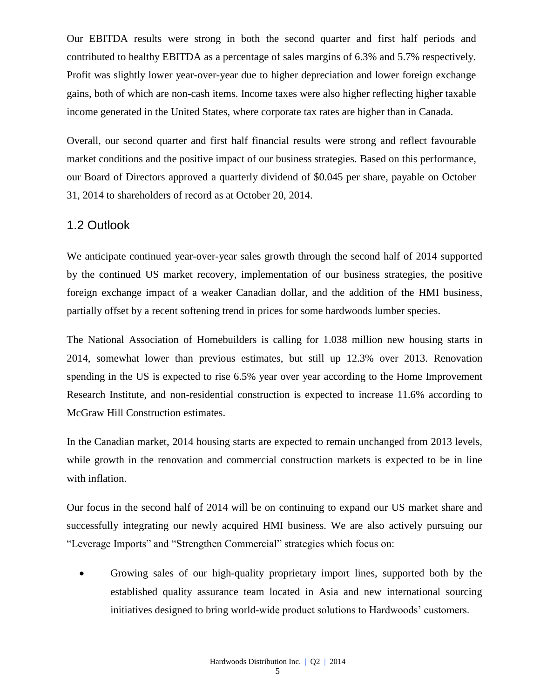Our EBITDA results were strong in both the second quarter and first half periods and contributed to healthy EBITDA as a percentage of sales margins of 6.3% and 5.7% respectively. Profit was slightly lower year-over-year due to higher depreciation and lower foreign exchange gains, both of which are non-cash items. Income taxes were also higher reflecting higher taxable income generated in the United States, where corporate tax rates are higher than in Canada.

Overall, our second quarter and first half financial results were strong and reflect favourable market conditions and the positive impact of our business strategies. Based on this performance, our Board of Directors approved a quarterly dividend of \$0.045 per share, payable on October 31, 2014 to shareholders of record as at October 20, 2014.

## 1.2 Outlook

We anticipate continued year-over-year sales growth through the second half of 2014 supported by the continued US market recovery, implementation of our business strategies, the positive foreign exchange impact of a weaker Canadian dollar, and the addition of the HMI business, partially offset by a recent softening trend in prices for some hardwoods lumber species.

The National Association of Homebuilders is calling for 1.038 million new housing starts in 2014, somewhat lower than previous estimates, but still up 12.3% over 2013. Renovation spending in the US is expected to rise 6.5% year over year according to the Home Improvement Research Institute, and non-residential construction is expected to increase 11.6% according to McGraw Hill Construction estimates.

In the Canadian market, 2014 housing starts are expected to remain unchanged from 2013 levels, while growth in the renovation and commercial construction markets is expected to be in line with inflation.

Our focus in the second half of 2014 will be on continuing to expand our US market share and successfully integrating our newly acquired HMI business. We are also actively pursuing our "Leverage Imports" and "Strengthen Commercial" strategies which focus on:

 Growing sales of our high-quality proprietary import lines, supported both by the established quality assurance team located in Asia and new international sourcing initiatives designed to bring world-wide product solutions to Hardwoods' customers.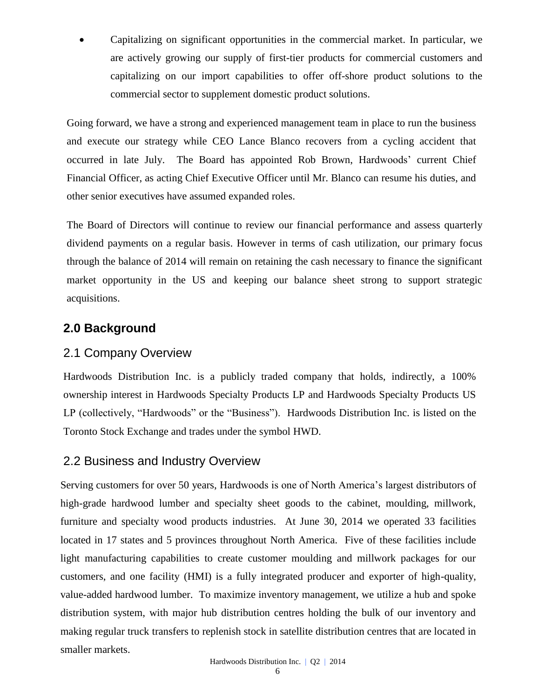Capitalizing on significant opportunities in the commercial market. In particular, we are actively growing our supply of first-tier products for commercial customers and capitalizing on our import capabilities to offer off-shore product solutions to the commercial sector to supplement domestic product solutions.

Going forward, we have a strong and experienced management team in place to run the business and execute our strategy while CEO Lance Blanco recovers from a cycling accident that occurred in late July. The Board has appointed Rob Brown, Hardwoods' current Chief Financial Officer, as acting Chief Executive Officer until Mr. Blanco can resume his duties, and other senior executives have assumed expanded roles.

The Board of Directors will continue to review our financial performance and assess quarterly dividend payments on a regular basis. However in terms of cash utilization, our primary focus through the balance of 2014 will remain on retaining the cash necessary to finance the significant market opportunity in the US and keeping our balance sheet strong to support strategic acquisitions.

# **2.0 Background**

# 2.1 Company Overview

Hardwoods Distribution Inc. is a publicly traded company that holds, indirectly, a 100% ownership interest in Hardwoods Specialty Products LP and Hardwoods Specialty Products US LP (collectively, "Hardwoods" or the "Business"). Hardwoods Distribution Inc. is listed on the [Toronto Stock Exchange and trades under the symbol](http://tmx.quotemedia.com/quote.php?qm_symbol=TPK&locale=EN) HWD.

# 2.2 Business and Industry Overview

Serving customers for over 50 years, Hardwoods is one of North America's largest distributors of high-grade hardwood lumber and specialty sheet goods to the cabinet, moulding, millwork, furniture and specialty wood products industries. At June 30, 2014 we operated 33 facilities located in 17 states and 5 provinces throughout North America. Five of these facilities include light manufacturing capabilities to create customer moulding and millwork packages for our customers, and one facility (HMI) is a fully integrated producer and exporter of high-quality, value-added hardwood lumber. To maximize inventory management, we utilize a hub and spoke distribution system, with major hub distribution centres holding the bulk of our inventory and making regular truck transfers to replenish stock in satellite distribution centres that are located in smaller markets.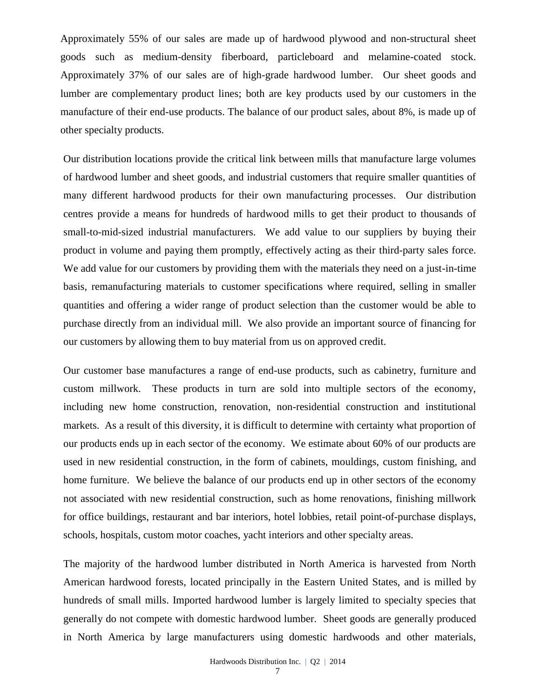Approximately 55% of our sales are made up of hardwood plywood and non-structural sheet goods such as medium-density fiberboard, particleboard and melamine-coated stock. Approximately 37% of our sales are of high-grade hardwood lumber. Our sheet goods and lumber are complementary product lines; both are key products used by our customers in the manufacture of their end-use products. The balance of our product sales, about 8%, is made up of other specialty products.

Our distribution locations provide the critical link between mills that manufacture large volumes of hardwood lumber and sheet goods, and industrial customers that require smaller quantities of many different hardwood products for their own manufacturing processes. Our distribution centres provide a means for hundreds of hardwood mills to get their product to thousands of small-to-mid-sized industrial manufacturers. We add value to our suppliers by buying their product in volume and paying them promptly, effectively acting as their third-party sales force. We add value for our customers by providing them with the materials they need on a just-in-time basis, remanufacturing materials to customer specifications where required, selling in smaller quantities and offering a wider range of product selection than the customer would be able to purchase directly from an individual mill. We also provide an important source of financing for our customers by allowing them to buy material from us on approved credit.

Our customer base manufactures a range of end-use products, such as cabinetry, furniture and custom millwork. These products in turn are sold into multiple sectors of the economy, including new home construction, renovation, non-residential construction and institutional markets. As a result of this diversity, it is difficult to determine with certainty what proportion of our products ends up in each sector of the economy. We estimate about 60% of our products are used in new residential construction, in the form of cabinets, mouldings, custom finishing, and home furniture. We believe the balance of our products end up in other sectors of the economy not associated with new residential construction, such as home renovations, finishing millwork for office buildings, restaurant and bar interiors, hotel lobbies, retail point-of-purchase displays, schools, hospitals, custom motor coaches, yacht interiors and other specialty areas.

The majority of the hardwood lumber distributed in North America is harvested from North American hardwood forests, located principally in the Eastern United States, and is milled by hundreds of small mills. Imported hardwood lumber is largely limited to specialty species that generally do not compete with domestic hardwood lumber. Sheet goods are generally produced in North America by large manufacturers using domestic hardwoods and other materials,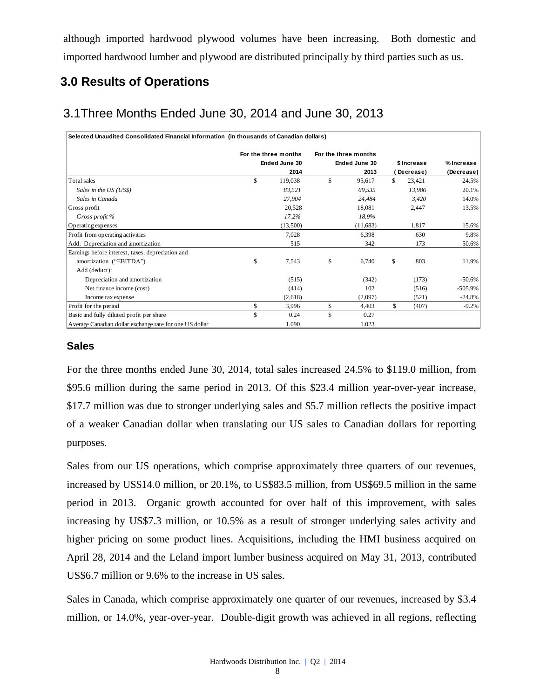although imported hardwood plywood volumes have been increasing. Both domestic and imported hardwood lumber and plywood are distributed principally by third parties such as us.

# **3.0 Results of Operations**

# 3.1Three Months Ended June 30, 2014 and June 30, 2013

| Selected Unaudited Consolidated Financial Information (in thousands of Canadian dollars) |                      |     |                      |     |             |            |
|------------------------------------------------------------------------------------------|----------------------|-----|----------------------|-----|-------------|------------|
|                                                                                          | For the three months |     | For the three months |     |             |            |
|                                                                                          | Ended June 30        |     | Ended June 30        |     | \$ Increase | % Increase |
|                                                                                          | 2014                 |     | 2013                 |     | Decrease)   | (Decrease) |
| Total sales                                                                              | \$<br>119,038        | \$. | 95,617               | \$. | 23,421      | 24.5%      |
| Sales in the US (US\$)                                                                   | 83,521               |     | 69,535               |     | 13,986      | 20.1%      |
| Sales in Canada                                                                          | 27,904               |     | 24,484               |     | 3,420       | 14.0%      |
| Gross profit                                                                             | 20,528               |     | 18,081               |     | 2,447       | 13.5%      |
| Gross profit %                                                                           | 17.2%                |     | 18.9%                |     |             |            |
| Operating expenses                                                                       | (13,500)             |     | (11,683)             |     | 1,817       | 15.6%      |
| Profit from operating activities                                                         | 7,028                |     | 6,398                |     | 630         | 9.8%       |
| Add: Depreciation and amortization                                                       | 515                  |     | 342                  |     | 173         | 50.6%      |
| Earnings before interest, taxes, depreciation and                                        |                      |     |                      |     |             |            |
| amortization ("EBITDA")                                                                  | \$<br>7,543          | \$  | 6,740                | \$  | 803         | 11.9%      |
| Add (deduct):                                                                            |                      |     |                      |     |             |            |
| Depreciation and amortization                                                            | (515)                |     | (342)                |     | (173)       | $-50.6\%$  |
| Net finance income (cost)                                                                | (414)                |     | 102                  |     | (516)       | $-505.9%$  |
| Income tax expense                                                                       | (2,618)              |     | (2,097)              |     | (521)       | $-24.8%$   |
| Profit for the period                                                                    | \$<br>3,996          | \$  | 4,403                | \$  | (407)       | $-9.2%$    |
| Basic and fully diluted profit per share                                                 | \$<br>0.24           | \$  | 0.27                 |     |             |            |
| Average Canadian dollar exchange rate for one US dollar                                  | 1.090                |     | 1.023                |     |             |            |

#### **Sales**

For the three months ended June 30, 2014, total sales increased 24.5% to \$119.0 million, from \$95.6 million during the same period in 2013. Of this \$23.4 million year-over-year increase, \$17.7 million was due to stronger underlying sales and \$5.7 million reflects the positive impact of a weaker Canadian dollar when translating our US sales to Canadian dollars for reporting purposes.

Sales from our US operations, which comprise approximately three quarters of our revenues, increased by US\$14.0 million, or 20.1%, to US\$83.5 million, from US\$69.5 million in the same period in 2013. Organic growth accounted for over half of this improvement, with sales increasing by US\$7.3 million, or 10.5% as a result of stronger underlying sales activity and higher pricing on some product lines. Acquisitions, including the HMI business acquired on April 28, 2014 and the Leland import lumber business acquired on May 31, 2013, contributed US\$6.7 million or 9.6% to the increase in US sales.

Sales in Canada, which comprise approximately one quarter of our revenues, increased by \$3.4 million, or 14.0%, year-over-year. Double-digit growth was achieved in all regions, reflecting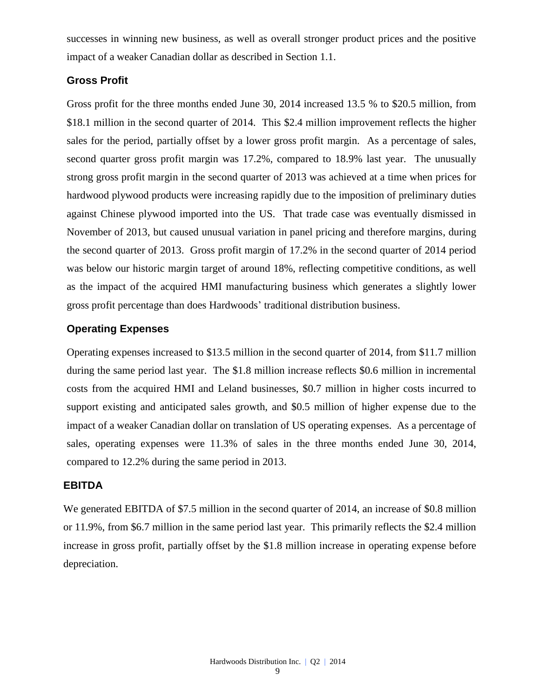successes in winning new business, as well as overall stronger product prices and the positive impact of a weaker Canadian dollar as described in Section 1.1.

#### **Gross Profit**

Gross profit for the three months ended June 30, 2014 increased 13.5 % to \$20.5 million, from \$18.1 million in the second quarter of 2014. This \$2.4 million improvement reflects the higher sales for the period, partially offset by a lower gross profit margin. As a percentage of sales, second quarter gross profit margin was 17.2%, compared to 18.9% last year. The unusually strong gross profit margin in the second quarter of 2013 was achieved at a time when prices for hardwood plywood products were increasing rapidly due to the imposition of preliminary duties against Chinese plywood imported into the US. That trade case was eventually dismissed in November of 2013, but caused unusual variation in panel pricing and therefore margins, during the second quarter of 2013. Gross profit margin of 17.2% in the second quarter of 2014 period was below our historic margin target of around 18%, reflecting competitive conditions, as well as the impact of the acquired HMI manufacturing business which generates a slightly lower gross profit percentage than does Hardwoods' traditional distribution business.

#### **Operating Expenses**

Operating expenses increased to \$13.5 million in the second quarter of 2014, from \$11.7 million during the same period last year. The \$1.8 million increase reflects \$0.6 million in incremental costs from the acquired HMI and Leland businesses, \$0.7 million in higher costs incurred to support existing and anticipated sales growth, and \$0.5 million of higher expense due to the impact of a weaker Canadian dollar on translation of US operating expenses. As a percentage of sales, operating expenses were 11.3% of sales in the three months ended June 30, 2014, compared to 12.2% during the same period in 2013.

#### **EBITDA**

We generated EBITDA of \$7.5 million in the second quarter of 2014, an increase of \$0.8 million or 11.9%, from \$6.7 million in the same period last year. This primarily reflects the \$2.4 million increase in gross profit, partially offset by the \$1.8 million increase in operating expense before depreciation.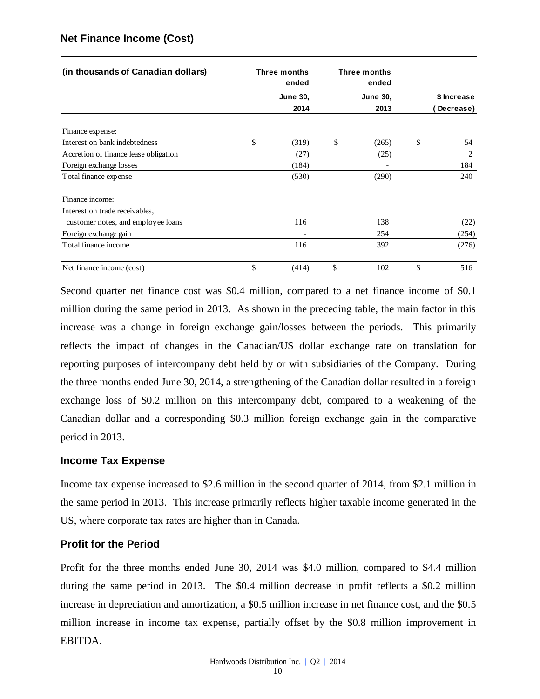| (in thousands of Canadian dollars)    | Three months<br>ended | Three months<br>ended |             |
|---------------------------------------|-----------------------|-----------------------|-------------|
|                                       | <b>June 30,</b>       | <b>June 30.</b>       | \$ Increase |
|                                       | 2014                  | 2013                  | Decrease)   |
| Finance expense:                      |                       |                       |             |
| Interest on bank indebtedness         | \$<br>(319)           | \$<br>(265)           | \$<br>54    |
| Accretion of finance lease obligation | (27)                  | (25)                  | 2           |
| Foreign exchange losses               | (184)                 |                       | 184         |
| Total finance expense                 | (530)                 | (290)                 | 240         |
| Finance income:                       |                       |                       |             |
| Interest on trade receivables,        |                       |                       |             |
| customer notes, and employee loans    | 116                   | 138                   | (22)        |
| Foreign exchange gain                 |                       | 254                   | (254)       |
| Total finance income                  | 116                   | 392                   | (276)       |
| Net finance income (cost)             | \$<br>(414)           | \$<br>102             | \$<br>516   |

### **Net Finance Income (Cost)**

Second quarter net finance cost was \$0.4 million, compared to a net finance income of \$0.1 million during the same period in 2013. As shown in the preceding table, the main factor in this increase was a change in foreign exchange gain/losses between the periods. This primarily reflects the impact of changes in the Canadian/US dollar exchange rate on translation for reporting purposes of intercompany debt held by or with subsidiaries of the Company. During the three months ended June 30, 2014, a strengthening of the Canadian dollar resulted in a foreign exchange loss of \$0.2 million on this intercompany debt, compared to a weakening of the Canadian dollar and a corresponding \$0.3 million foreign exchange gain in the comparative period in 2013.

#### **Income Tax Expense**

Income tax expense increased to \$2.6 million in the second quarter of 2014, from \$2.1 million in the same period in 2013. This increase primarily reflects higher taxable income generated in the US, where corporate tax rates are higher than in Canada.

#### **Profit for the Period**

Profit for the three months ended June 30, 2014 was \$4.0 million, compared to \$4.4 million during the same period in 2013. The \$0.4 million decrease in profit reflects a \$0.2 million increase in depreciation and amortization, a \$0.5 million increase in net finance cost, and the \$0.5 million increase in income tax expense, partially offset by the \$0.8 million improvement in EBITDA.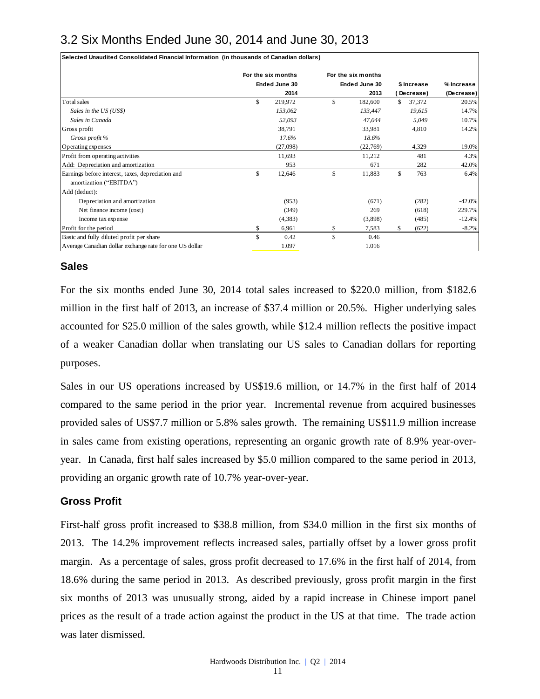# 3.2 Six Months Ended June 30, 2014 and June 30, 2013

|                                                                                                                                                                                                                                                                                                                                                                                                                        | For the six months |                 | For the six months    |                  |             |                     |
|------------------------------------------------------------------------------------------------------------------------------------------------------------------------------------------------------------------------------------------------------------------------------------------------------------------------------------------------------------------------------------------------------------------------|--------------------|-----------------|-----------------------|------------------|-------------|---------------------|
|                                                                                                                                                                                                                                                                                                                                                                                                                        |                    | Ended June 30   | Ended June 30         |                  | \$ Increase | % Increase          |
| Total sales                                                                                                                                                                                                                                                                                                                                                                                                            | \$                 | 2014<br>219,972 | \$<br>2013<br>182,600 | (Decrease)<br>\$ | 37,372      | (Decrease)<br>20.5% |
| Sales in the US (US\$)                                                                                                                                                                                                                                                                                                                                                                                                 |                    | 153,062         | 133,447               |                  | 19,615      | 14.7%               |
| Sales in Canada                                                                                                                                                                                                                                                                                                                                                                                                        |                    | 52,093          | 47,044                |                  | 5,049       | 10.7%               |
| Gross profit                                                                                                                                                                                                                                                                                                                                                                                                           |                    | 38,791          | 33,981                |                  | 4,810       | 14.2%               |
| Gross profit %                                                                                                                                                                                                                                                                                                                                                                                                         |                    | 17.6%           | 18.6%                 |                  |             |                     |
| Operating expenses                                                                                                                                                                                                                                                                                                                                                                                                     |                    | (27,098)        | (22, 769)             |                  | 4,329       | 19.0%               |
| Profit from operating activities                                                                                                                                                                                                                                                                                                                                                                                       |                    | 11,693          | 11,212                |                  | 481         | 4.3%                |
| Add: Depreciation and amortization                                                                                                                                                                                                                                                                                                                                                                                     |                    | 953             | 671                   |                  | 282         | 42.0%               |
| Earnings before interest, taxes, depreciation and                                                                                                                                                                                                                                                                                                                                                                      | \$                 | 12,646          | \$<br>11,883          | \$               | 763         | 6.4%                |
| amortization ("EBITDA")<br>Add (deduct):                                                                                                                                                                                                                                                                                                                                                                               |                    |                 |                       |                  |             |                     |
| Depreciation and amortization                                                                                                                                                                                                                                                                                                                                                                                          |                    | (953)           | (671)                 |                  | (282)       | $-42.0%$            |
| Net finance income (cost)                                                                                                                                                                                                                                                                                                                                                                                              |                    | (349)           | 269                   |                  | (618)       | 229.7%              |
| Income tax expense                                                                                                                                                                                                                                                                                                                                                                                                     |                    | (4,383)         | (3,898)               |                  | (485)       | $-12.4%$            |
| Profit for the period                                                                                                                                                                                                                                                                                                                                                                                                  | \$                 | 6,961           | \$<br>7,583           | \$               | (622)       | -8.2%               |
| Basic and fully diluted profit per share                                                                                                                                                                                                                                                                                                                                                                               | $\mathbf S$        | 0.42            | \$<br>0.46            |                  |             |                     |
| Average Canadian dollar exchange rate for one US dollar                                                                                                                                                                                                                                                                                                                                                                |                    | 1.097           | 1.016                 |                  |             |                     |
| For the six months ended June 30, 2014 total sales increased to \$220.0 million, from \$182.6<br>million in the first half of 2013, an increase of \$37.4 million or 20.5%. Higher underlying sales<br>accounted for \$25.0 million of the sales growth, while \$12.4 million reflects the positive impact<br>of a weaker Canadian dollar when translating our US sales to Canadian dollars for reporting<br>purposes. |                    |                 |                       |                  |             |                     |
| Sales in our US operations increased by US\$19.6 million, or 14.7% in the first half of 2014<br>compared to the same period in the prior year. Incremental revenue from acquired businesses                                                                                                                                                                                                                            |                    |                 |                       |                  |             |                     |
| provided sales of US\$7.7 million or 5.8% sales growth. The remaining US\$11.9 million increase<br>in sales came from existing operations, representing an organic growth rate of 8.9% year-over-<br>year. In Canada, first half sales increased by \$5.0 million compared to the same period in 2013,<br>providing an organic growth rate of 10.7% year-over-year.                                                    |                    |                 |                       |                  |             |                     |
| <b>Gross Profit</b>                                                                                                                                                                                                                                                                                                                                                                                                    |                    |                 |                       |                  |             |                     |

#### **Sales**

#### **Gross Profit**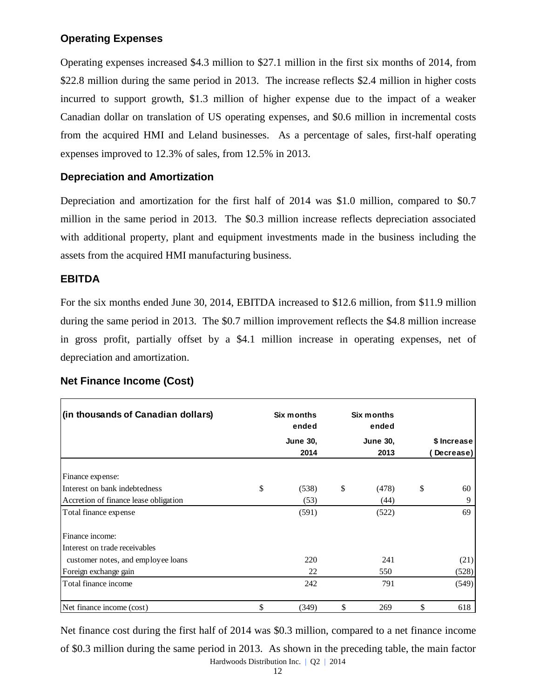## **Operating Expenses**

Operating expenses increased \$4.3 million to \$27.1 million in the first six months of 2014, from \$22.8 million during the same period in 2013. The increase reflects \$2.4 million in higher costs incurred to support growth, \$1.3 million of higher expense due to the impact of a weaker Canadian dollar on translation of US operating expenses, and \$0.6 million in incremental costs from the acquired HMI and Leland businesses. As a percentage of sales, first-half operating expenses improved to 12.3% of sales, from 12.5% in 2013.

#### **Depreciation and Amortization**

Depreciation and amortization for the first half of 2014 was \$1.0 million, compared to \$0.7 million in the same period in 2013. The \$0.3 million increase reflects depreciation associated with additional property, plant and equipment investments made in the business including the assets from the acquired HMI manufacturing business.

#### **EBITDA**

For the six months ended June 30, 2014, EBITDA increased to \$12.6 million, from \$11.9 million during the same period in 2013. The \$0.7 million improvement reflects the \$4.8 million increase in gross profit, partially offset by a \$4.1 million increase in operating expenses, net of depreciation and amortization.

| (in thousands of Canadian dollars)    | Six months<br>ended | Six months<br>ended |             |
|---------------------------------------|---------------------|---------------------|-------------|
|                                       | <b>June 30,</b>     | <b>June 30,</b>     | \$ Increase |
|                                       | 2014                | 2013                | Decrease)   |
| Finance expense:                      |                     |                     |             |
| Interest on bank indebtedness         | \$<br>(538)         | \$<br>(478)         | \$<br>60    |
| Accretion of finance lease obligation | (53)                | (44)                | 9           |
| Total finance expense                 | (591)               | (522)               | 69          |
| Finance income:                       |                     |                     |             |
| Interest on trade receivables         |                     |                     |             |
| customer notes, and employee loans    | 220                 | 241                 | (21)        |
| Foreign exchange gain                 | 22                  | 550                 | (528)       |
| Total finance income                  | 242                 | 791                 | (549)       |
| Net finance income (cost)             | \$<br>(349)         | \$<br>269           | \$<br>618   |

#### **Net Finance Income (Cost)**

Hardwoods Distribution Inc. | Q2 | 2014 Net finance cost during the first half of 2014 was \$0.3 million, compared to a net finance income of \$0.3 million during the same period in 2013. As shown in the preceding table, the main factor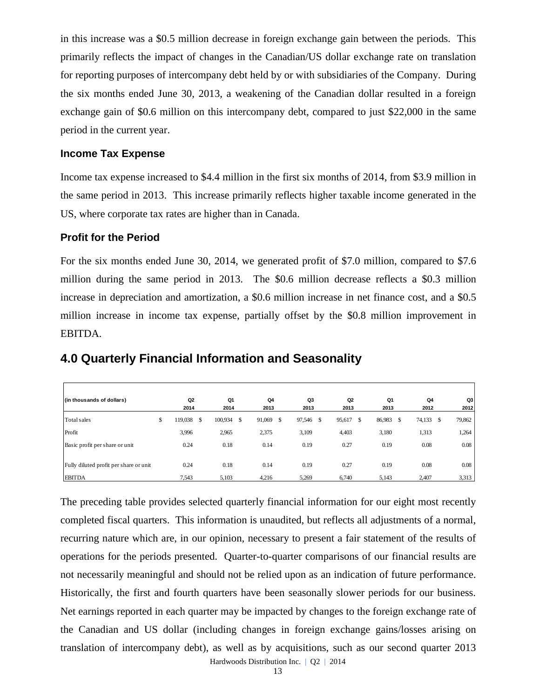in this increase was a \$0.5 million decrease in foreign exchange gain between the periods. This primarily reflects the impact of changes in the Canadian/US dollar exchange rate on translation for reporting purposes of intercompany debt held by or with subsidiaries of the Company. During the six months ended June 30, 2013, a weakening of the Canadian dollar resulted in a foreign exchange gain of \$0.6 million on this intercompany debt, compared to just \$22,000 in the same period in the current year.

#### **Income Tax Expense**

Income tax expense increased to \$4.4 million in the first six months of 2014, from \$3.9 million in the same period in 2013. This increase primarily reflects higher taxable income generated in the US, where corporate tax rates are higher than in Canada.

#### **Profit for the Period**

For the six months ended June 30, 2014, we generated profit of \$7.0 million, compared to \$7.6 million during the same period in 2013. The \$0.6 million decrease reflects a \$0.3 million increase in depreciation and amortization, a \$0.6 million increase in net finance cost, and a \$0.5 million increase in income tax expense, partially offset by the \$0.8 million improvement in EBITDA.

| (in thousands of dollars)              | Q2            | Q1            | Q4           |   | Q3     |     | Q <sub>2</sub> |      | Q1     | Q4           |   | Q3     |
|----------------------------------------|---------------|---------------|--------------|---|--------|-----|----------------|------|--------|--------------|---|--------|
|                                        | 2014          | 2014          | 2013         |   | 2013   |     | 2013           |      | 2013   | 2012         |   | 2012   |
| Total sales                            | \$<br>119,038 | \$<br>100,934 | \$<br>91,069 | S | 97,546 | -\$ | 95,617         | - \$ | 86,983 | \$<br>74,133 | S | 79,862 |
| Profit                                 | 3,996         | 2,965         | 2,375        |   | 3,109  |     | 4,403          |      | 3,180  | 1,313        |   | 1,264  |
| Basic profit per share or unit         | 0.24          | 0.18          | 0.14         |   | 0.19   |     | 0.27           |      | 0.19   | 0.08         |   | 0.08   |
| Fully diluted profit per share or unit | 0.24          | 0.18          | 0.14         |   | 0.19   |     | 0.27           |      | 0.19   | 0.08         |   | 0.08   |
| <b>EBITDA</b>                          | 7,543         | 5,103         | 4,216        |   | 5,269  |     | 6,740          |      | 5,143  | 2,407        |   | 3,313  |

## **4.0 Quarterly Financial Information and Seasonality**

The preceding table provides selected quarterly financial information for our eight most recently completed fiscal quarters. This information is unaudited, but reflects all adjustments of a normal, recurring nature which are, in our opinion, necessary to present a fair statement of the results of operations for the periods presented. Quarter-to-quarter comparisons of our financial results are not necessarily meaningful and should not be relied upon as an indication of future performance. Historically, the first and fourth quarters have been seasonally slower periods for our business. Net earnings reported in each quarter may be impacted by changes to the foreign exchange rate of the Canadian and US dollar (including changes in foreign exchange gains/losses arising on Translation of dollars)<br>
Translations of dollars)<br>
Translations<br>  $\frac{204}{7}$  **Consequence**<br>
Basis pone per share or unit<br>
Basis pone per share or unit<br>  $\frac{0.24}{1200}$  **as**  $\frac{0.24}{200}$  **LA1 Q2 Q1 Q2 Q1 Q2 Q** 

Hardwoods Distribution Inc. | Q2 | 2014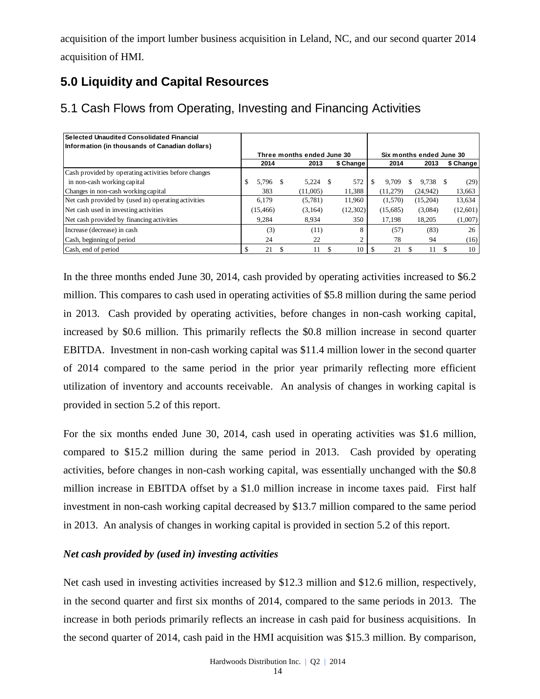acquisition of the import lumber business acquisition in Leland, NC, and our second quarter 2014 acquisition of HMI.

# **5.0 Liquidity and Capital Resources**

| Selected Unaudited Consolidated Financial            |           |    |                            |           |          |   |                          |           |
|------------------------------------------------------|-----------|----|----------------------------|-----------|----------|---|--------------------------|-----------|
| Information (in thousands of Canadian dollars)       |           |    |                            |           |          |   |                          |           |
|                                                      |           |    | Three months ended June 30 |           |          |   | Six months ended June 30 |           |
|                                                      | 2014      |    | 2013                       | \$ Change | 2014     |   | 2013                     | \$ Change |
| Cash provided by operating activities before changes |           |    |                            |           |          |   |                          |           |
| in non-cash working capital                          | 5.796     | -S | 5.224                      | 572       | 9.709    | S | 9.738                    | (29)      |
| Changes in non-cash working capital                  | 383       |    | (11.005)                   | 11,388    | (11.279) |   | (24, 942)                | 13,663    |
| Net cash provided by (used in) operating activities  | 6,179     |    | (5,781)                    | 11,960    | (1,570)  |   | (15,204)                 | 13,634    |
| Net cash used in investing activities                | (15, 466) |    | (3,164)                    | (12,302)  | (15,685) |   | (3,084)                  | (12,601)  |
| Net cash provided by financing activities            | 9.284     |    | 8.934                      | 350       | 17,198   |   | 18,205                   | (1,007)   |
| Increase (decrease) in cash                          | (3)       |    | (11)                       | 8         | (57)     |   | (83)                     | 26        |
| Cash, beginning of period                            | 24        |    | 22                         |           | 78       |   | 94                       | (16)      |
| Cash, end of period                                  | 21        |    | 11                         | 10        | 21       |   | 11                       | 10        |

# 5.1 Cash Flows from Operating, Investing and Financing Activities

In the three months ended June 30, 2014, cash provided by operating activities increased to \$6.2 million. This compares to cash used in operating activities of \$5.8 million during the same period in 2013. Cash provided by operating activities, before changes in non-cash working capital, increased by \$0.6 million. This primarily reflects the \$0.8 million increase in second quarter EBITDA. Investment in non-cash working capital was \$11.4 million lower in the second quarter of 2014 compared to the same period in the prior year primarily reflecting more efficient utilization of inventory and accounts receivable. An analysis of changes in working capital is provided in section 5.2 of this report. **Examples of 2014** consenses paid in the second quarter of 2014, cash paid in the second quarter of 2014, cash paid in the HMI acquisition was \$15.3 million. By comparison, the second announce of the second and the second

For the six months ended June 30, 2014, cash used in operating activities was \$1.6 million, compared to \$15.2 million during the same period in 2013. Cash provided by operating activities, before changes in non-cash working capital, was essentially unchanged with the \$0.8 million increase in EBITDA offset by a \$1.0 million increase in income taxes paid. First half investment in non-cash working capital decreased by \$13.7 million compared to the same period in 2013. An analysis of changes in working capital is provided in section 5.2 of this report.

#### *Net cash provided by (used in) investing activities*

Net cash used in investing activities increased by \$12.3 million and \$12.6 million, respectively, in the second quarter and first six months of 2014, compared to the same periods in 2013. The increase in both periods primarily reflects an increase in cash paid for business acquisitions. In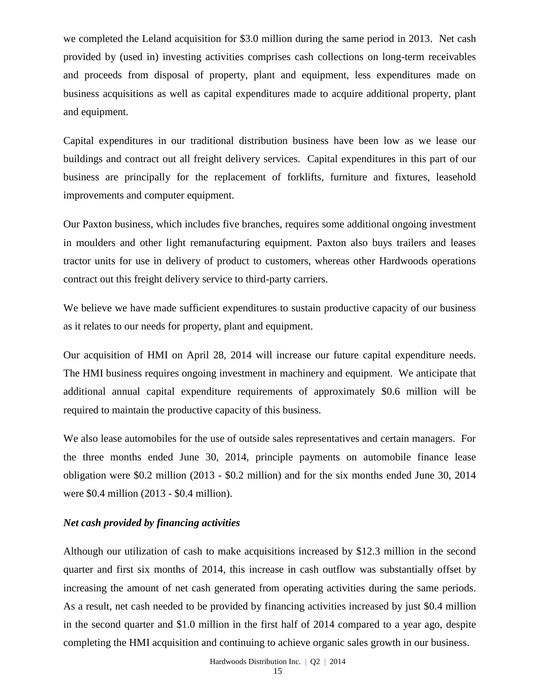we completed the Leland acquisition for \$3.0 million during the same period in 2013. Net cash provided by (used in) investing activities comprises cash collections on long-term receivables and proceeds from disposal of property, plant and equipment, less expenditures made on business acquisitions as well as capital expenditures made to acquire additional property, plant and equipment.

Capital expenditures in our traditional distribution business have been low as we lease our buildings and contract out all freight delivery services. Capital expenditures in this part of our business are principally for the replacement of forklifts, furniture and fixtures, leasehold improvements and computer equipment.

Our Paxton business, which includes five branches, requires some additional ongoing investment in moulders and other light remanufacturing equipment. Paxton also buys trailers and leases tractor units for use in delivery of product to customers, whereas other Hardwoods operations contract out this freight delivery service to third-party carriers.

We believe we have made sufficient expenditures to sustain productive capacity of our business as it relates to our needs for property, plant and equipment.

Our acquisition of HMI on April 28, 2014 will increase our future capital expenditure needs. The HMI business requires ongoing investment in machinery and equipment. We anticipate that additional annual capital expenditure requirements of approximately \$0.6 million will be required to maintain the productive capacity of this business.

We also lease automobiles for the use of outside sales representatives and certain managers. For the three months ended June 30, 2014, principle payments on automobile finance lease obligation were \$0.2 million (2013 - \$0.2 million) and for the six months ended June 30, 2014 were \$0.4 million (2013 - \$0.4 million).

#### *Net cash provided by financing activities*

Although our utilization of cash to make acquisitions increased by \$12.3 million in the second quarter and first six months of 2014, this increase in cash outflow was substantially offset by increasing the amount of net cash generated from operating activities during the same periods. As a result, net cash needed to be provided by financing activities increased by just \$0.4 million in the second quarter and \$1.0 million in the first half of 2014 compared to a year ago, despite completing the HMI acquisition and continuing to achieve organic sales growth in our business.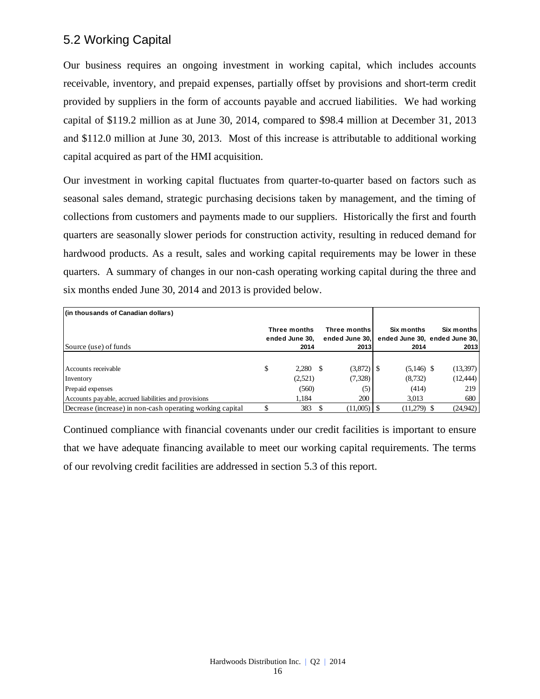# 5.2 Working Capital

Our business requires an ongoing investment in working capital, which includes accounts receivable, inventory, and prepaid expenses, partially offset by provisions and short-term credit provided by suppliers in the form of accounts payable and accrued liabilities. We had working capital of \$119.2 million as at June 30, 2014, compared to \$98.4 million at December 31, 2013 and \$112.0 million at June 30, 2013. Most of this increase is attributable to additional working capital acquired as part of the HMI acquisition.

Our investment in working capital fluctuates from quarter-to-quarter based on factors such as seasonal sales demand, strategic purchasing decisions taken by management, and the timing of collections from customers and payments made to our suppliers. Historically the first and fourth quarters are seasonally slower periods for construction activity, resulting in reduced demand for hardwood products. As a result, sales and working capital requirements may be lower in these quarters. A summary of changes in our non-cash operating working capital during the three and six months ended June 30, 2014 and 2013 is provided below.

| (in thousands of Canadian dollars)                        |                                |     |                                |                                             |            |
|-----------------------------------------------------------|--------------------------------|-----|--------------------------------|---------------------------------------------|------------|
|                                                           | Three months<br>ended June 30. |     | Three months<br>ended June 30. | Six months<br>ended June 30, ended June 30, | Six months |
| Source (use) of funds                                     | 2014                           |     | 2013                           | 2014                                        | 2013       |
|                                                           |                                |     |                                |                                             |            |
| Accounts receivable                                       | \$<br>2.280                    | - S |                                | $(5,146)$ \$                                | (13,397)   |
| Inventory                                                 | (2,521)                        |     | (7,328)                        | (8,732)                                     | (12, 444)  |
| Prepaid expenses                                          | (560)                          |     | (5)                            | (414)                                       | 219        |
| Accounts payable, accrued liabilities and provisions      | 1.184                          |     | 200                            | 3,013                                       | 680        |
| Decrease (increase) in non-cash operating working capital | 383                            |     | $(11,005)$ S                   | $(11,279)$ \$                               | (24, 942)  |

Continued compliance with financial covenants under our credit facilities is important to ensure that we have adequate financing available to meet our working capital requirements. The terms of our revolving credit facilities are addressed in section 5.3 of this report.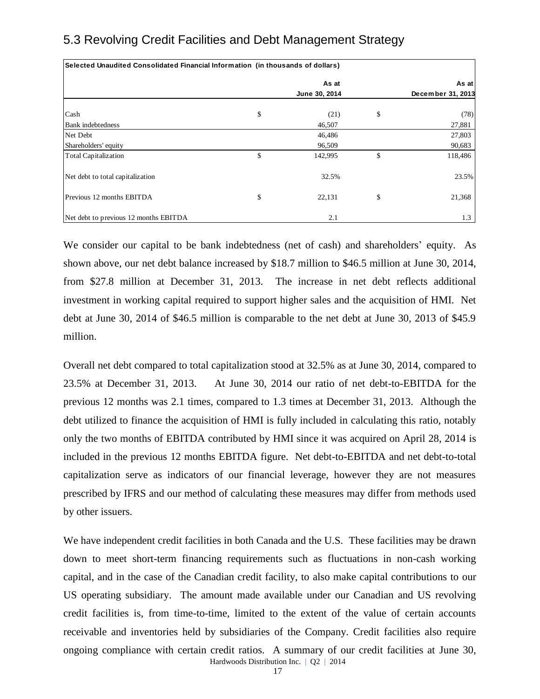| Selected Unaudited Consolidated Financial Information  (in thousands of dollars) |               |                   |
|----------------------------------------------------------------------------------|---------------|-------------------|
|                                                                                  | As at         | As at             |
|                                                                                  | June 30, 2014 | December 31, 2013 |
| Cash                                                                             | \$<br>(21)    | \$<br>(78)        |
| <b>Bank</b> indebtedness                                                         | 46,507        | 27,881            |
| Net Debt                                                                         | 46,486        | 27,803            |
| Shareholders' equity                                                             | 96,509        | 90,683            |
| <b>Total Capitalization</b>                                                      | \$<br>142,995 | \$<br>118,486     |
| Net debt to total capitalization                                                 | 32.5%         | 23.5%             |
| Previous 12 months EBITDA                                                        | \$<br>22,131  | \$<br>21,368      |
| Net debt to previous 12 months EBITDA                                            | 2.1           | 1.3               |

We consider our capital to be bank indebtedness (net of cash) and shareholders' equity. As shown above, our net debt balance increased by \$18.7 million to \$46.5 million at June 30, 2014, from \$27.8 million at December 31, 2013. The increase in net debt reflects additional investment in working capital required to support higher sales and the acquisition of HMI. Net debt at June 30, 2014 of \$46.5 million is comparable to the net debt at June 30, 2013 of \$45.9 million.

Overall net debt compared to total capitalization stood at 32.5% as at June 30, 2014, compared to 23.5% at December 31, 2013. At June 30, 2014 our ratio of net debt-to-EBITDA for the previous 12 months was 2.1 times, compared to 1.3 times at December 31, 2013. Although the debt utilized to finance the acquisition of HMI is fully included in calculating this ratio, notably only the two months of EBITDA contributed by HMI since it was acquired on April 28, 2014 is included in the previous 12 months EBITDA figure. Net debt-to-EBITDA and net debt-to-total capitalization serve as indicators of our financial leverage, however they are not measures prescribed by IFRS and our method of calculating these measures may differ from methods used by other issuers.

Hardwoods Distribution Inc. | Q2 | 2014 We have independent credit facilities in both Canada and the U.S. These facilities may be drawn down to meet short-term financing requirements such as fluctuations in non-cash working capital, and in the case of the Canadian credit facility, to also make capital contributions to our US operating subsidiary. The amount made available under our Canadian and US revolving credit facilities is, from time-to-time, limited to the extent of the value of certain accounts receivable and inventories held by subsidiaries of the Company. Credit facilities also require ongoing compliance with certain credit ratios. A summary of our credit facilities at June 30,

17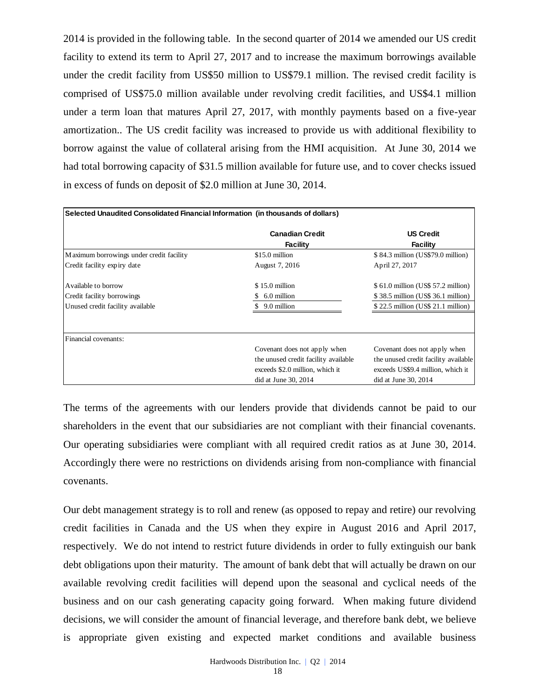2014 is provided in the following table. In the second quarter of 2014 we amended our US credit facility to extend its term to April 27, 2017 and to increase the maximum borrowings available under the credit facility from US\$50 million to US\$79.1 million. The revised credit facility is comprised of US\$75.0 million available under revolving credit facilities, and US\$4.1 million under a term loan that matures April 27, 2017, with monthly payments based on a five-year amortization.. The US credit facility was increased to provide us with additional flexibility to borrow against the value of collateral arising from the HMI acquisition. At June 30, 2014 we had total borrowing capacity of \$31.5 million available for future use, and to cover checks issued in excess of funds on deposit of \$2.0 million at June 30, 2014.

| Selected Unaudited Consolidated Financial Information (in thousands of dollars)                              |                                                                                                                                 |                                                                                                                                   |
|--------------------------------------------------------------------------------------------------------------|---------------------------------------------------------------------------------------------------------------------------------|-----------------------------------------------------------------------------------------------------------------------------------|
|                                                                                                              | <b>Canadian Credit</b><br><b>Facility</b>                                                                                       | <b>US Credit</b><br><b>Facility</b>                                                                                               |
| Maximum borrowings under credit facility                                                                     | \$15.0 million                                                                                                                  | \$84.3 million (US\$79.0 million)                                                                                                 |
| Credit facility expiry date                                                                                  | August 7, 2016                                                                                                                  | April 27, 2017                                                                                                                    |
| Available to borrow                                                                                          | \$15.0 million                                                                                                                  | \$ 61.0 million (US\$ 57.2 million)                                                                                               |
| Credit facility borrowings                                                                                   | $$6.0$ million                                                                                                                  | \$38.5 million (US\$36.1 million)                                                                                                 |
| Unused credit facility available                                                                             | 9.0 million<br>\$.                                                                                                              | \$22.5 million (US\$21.1 million)                                                                                                 |
| Financial covenants:                                                                                         |                                                                                                                                 |                                                                                                                                   |
|                                                                                                              | Covenant does not apply when<br>the unused credit facility available<br>exceeds \$2.0 million, which it<br>did at June 30, 2014 | Covenant does not apply when<br>the unused credit facility available<br>exceeds US\$9.4 million, which it<br>did at June 30, 2014 |
| Accordingly there were no restrictions on dividends arising from non-compliance with financial<br>covenants. |                                                                                                                                 |                                                                                                                                   |
| Our debt management strategy is to roll and renew (as opposed to repay and retire) our revolving             |                                                                                                                                 |                                                                                                                                   |
| credit facilities in Canada and the US when they expire in August 2016 and April 2017,                       |                                                                                                                                 |                                                                                                                                   |
| respectively. We do not intend to restrict future dividends in order to fully extinguish our bank            |                                                                                                                                 |                                                                                                                                   |
| debt obligations upon their maturity. The amount of bank debt that will actually be drawn on our             |                                                                                                                                 |                                                                                                                                   |
| available revolving credit facilities will depend upon the seasonal and cyclical needs of the                |                                                                                                                                 |                                                                                                                                   |
| business and on our cash generating capacity going forward. When making future dividend                      |                                                                                                                                 |                                                                                                                                   |
| decisions, we will consider the amount of financial leverage, and therefore bank debt, we believe            |                                                                                                                                 |                                                                                                                                   |
| is appropriate given existing and expected market conditions and available business                          |                                                                                                                                 |                                                                                                                                   |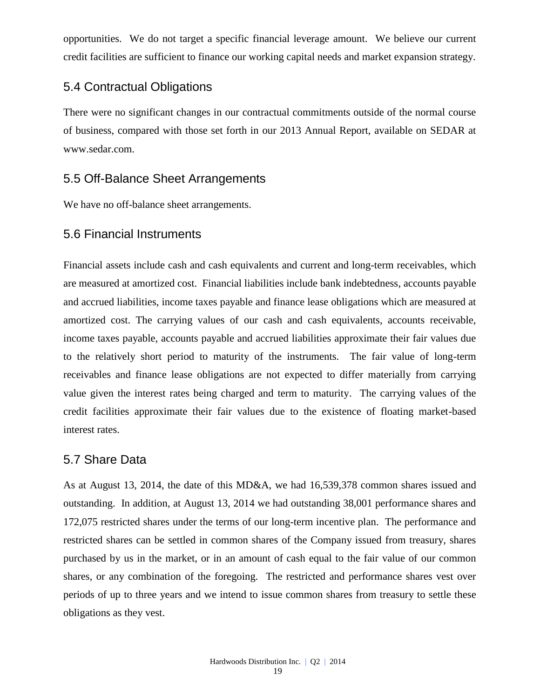opportunities. We do not target a specific financial leverage amount. We believe our current credit facilities are sufficient to finance our working capital needs and market expansion strategy.

## 5.4 Contractual Obligations

There were no significant changes in our contractual commitments outside of the normal course of business, compared with those set forth in our 2013 Annual Report, available on SEDAR at www.sedar.com.

# 5.5 Off-Balance Sheet Arrangements

We have no off-balance sheet arrangements.

## 5.6 Financial Instruments

Financial assets include cash and cash equivalents and current and long-term receivables, which are measured at amortized cost. Financial liabilities include bank indebtedness, accounts payable and accrued liabilities, income taxes payable and finance lease obligations which are measured at amortized cost. The carrying values of our cash and cash equivalents, accounts receivable, income taxes payable, accounts payable and accrued liabilities approximate their fair values due to the relatively short period to maturity of the instruments. The fair value of long-term receivables and finance lease obligations are not expected to differ materially from carrying value given the interest rates being charged and term to maturity. The carrying values of the credit facilities approximate their fair values due to the existence of floating market-based interest rates.

# 5.7 Share Data

As at August 13, 2014, the date of this MD&A, we had 16,539,378 common shares issued and outstanding. In addition, at August 13, 2014 we had outstanding 38,001 performance shares and 172,075 restricted shares under the terms of our long-term incentive plan. The performance and restricted shares can be settled in common shares of the Company issued from treasury, shares purchased by us in the market, or in an amount of cash equal to the fair value of our common shares, or any combination of the foregoing. The restricted and performance shares vest over periods of up to three years and we intend to issue common shares from treasury to settle these obligations as they vest.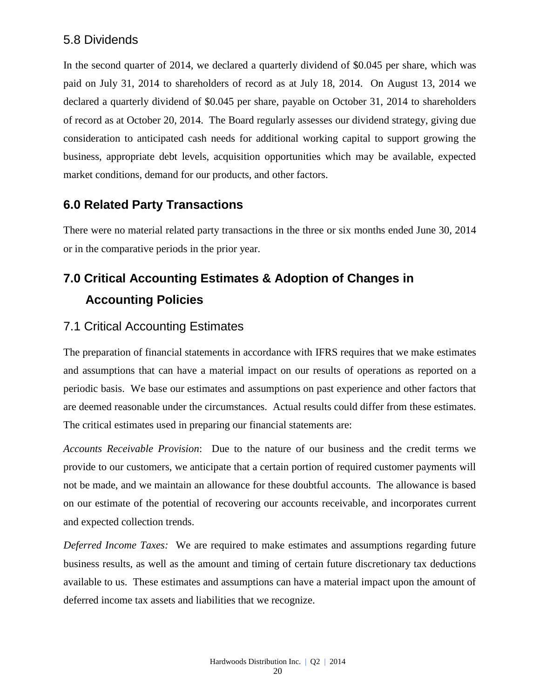# 5.8 Dividends

In the second quarter of 2014, we declared a quarterly dividend of \$0.045 per share, which was paid on July 31, 2014 to shareholders of record as at July 18, 2014. On August 13, 2014 we declared a quarterly dividend of \$0.045 per share, payable on October 31, 2014 to shareholders of record as at October 20, 2014. The Board regularly assesses our dividend strategy, giving due consideration to anticipated cash needs for additional working capital to support growing the business, appropriate debt levels, acquisition opportunities which may be available, expected market conditions, demand for our products, and other factors.

# **6.0 Related Party Transactions**

There were no material related party transactions in the three or six months ended June 30, 2014 or in the comparative periods in the prior year.

# **7.0 Critical Accounting Estimates & Adoption of Changes in Accounting Policies**

# 7.1 Critical Accounting Estimates

The preparation of financial statements in accordance with IFRS requires that we make estimates and assumptions that can have a material impact on our results of operations as reported on a periodic basis. We base our estimates and assumptions on past experience and other factors that are deemed reasonable under the circumstances. Actual results could differ from these estimates. The critical estimates used in preparing our financial statements are:

*Accounts Receivable Provision*: Due to the nature of our business and the credit terms we provide to our customers, we anticipate that a certain portion of required customer payments will not be made, and we maintain an allowance for these doubtful accounts. The allowance is based on our estimate of the potential of recovering our accounts receivable, and incorporates current and expected collection trends.

*Deferred Income Taxes:* We are required to make estimates and assumptions regarding future business results, as well as the amount and timing of certain future discretionary tax deductions available to us. These estimates and assumptions can have a material impact upon the amount of deferred income tax assets and liabilities that we recognize.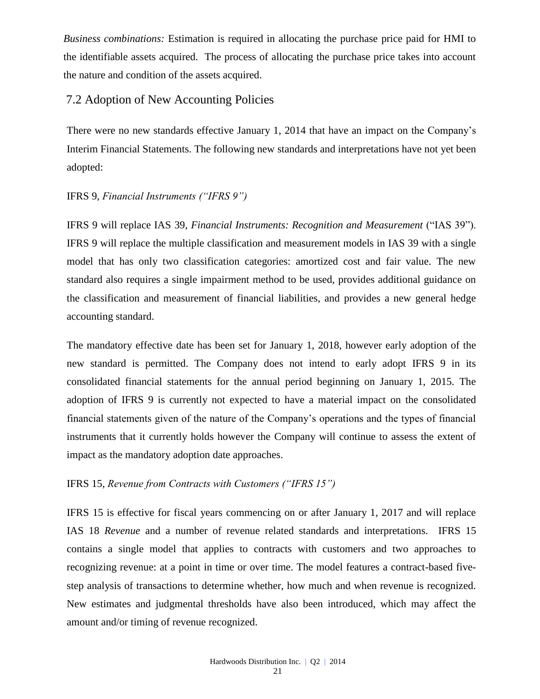*Business combinations:* Estimation is required in allocating the purchase price paid for HMI to the identifiable assets acquired. The process of allocating the purchase price takes into account the nature and condition of the assets acquired.

#### 7.2 Adoption of New Accounting Policies

There were no new standards effective January 1, 2014 that have an impact on the Company's Interim Financial Statements. The following new standards and interpretations have not yet been adopted:

#### IFRS 9, *Financial Instruments ("IFRS 9")*

IFRS 9 will replace IAS 39, *Financial Instruments: Recognition and Measurement* ("IAS 39"). IFRS 9 will replace the multiple classification and measurement models in IAS 39 with a single model that has only two classification categories: amortized cost and fair value. The new standard also requires a single impairment method to be used, provides additional guidance on the classification and measurement of financial liabilities, and provides a new general hedge accounting standard.

The mandatory effective date has been set for January 1, 2018, however early adoption of the new standard is permitted. The Company does not intend to early adopt IFRS 9 in its consolidated financial statements for the annual period beginning on January 1, 2015. The adoption of IFRS 9 is currently not expected to have a material impact on the consolidated financial statements given of the nature of the Company's operations and the types of financial instruments that it currently holds however the Company will continue to assess the extent of impact as the mandatory adoption date approaches.

#### IFRS 15, *Revenue from Contracts with Customers ("IFRS 15")*

IFRS 15 is effective for fiscal years commencing on or after January 1, 2017 and will replace IAS 18 *Revenue* and a number of revenue related standards and interpretations. IFRS 15 contains a single model that applies to contracts with customers and two approaches to recognizing revenue: at a point in time or over time. The model features a contract-based fivestep analysis of transactions to determine whether, how much and when revenue is recognized. New estimates and judgmental thresholds have also been introduced, which may affect the amount and/or timing of revenue recognized.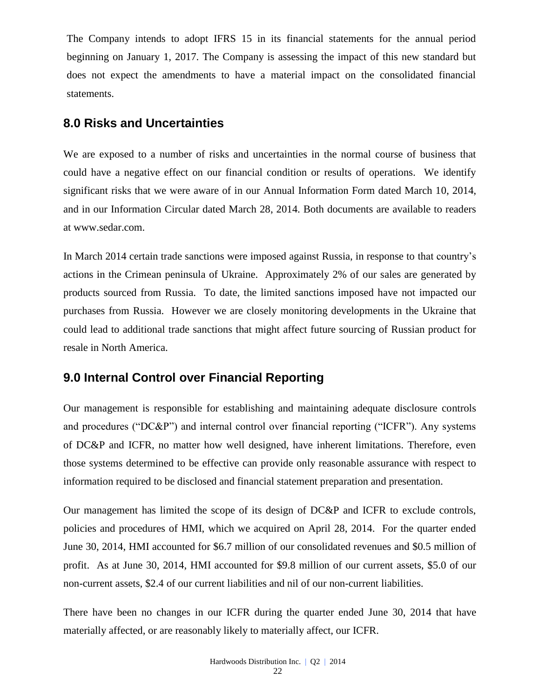The Company intends to adopt IFRS 15 in its financial statements for the annual period beginning on January 1, 2017. The Company is assessing the impact of this new standard but does not expect the amendments to have a material impact on the consolidated financial statements.

# **8.0 Risks and Uncertainties**

We are exposed to a number of risks and uncertainties in the normal course of business that could have a negative effect on our financial condition or results of operations. We identify significant risks that we were aware of in our Annual Information Form dated March 10, 2014, and in our Information Circular dated March 28, 2014. Both documents are available to readers at [www.sedar.com.](http://www.sedar.com/)

In March 2014 certain trade sanctions were imposed against Russia, in response to that country's actions in the Crimean peninsula of Ukraine. Approximately 2% of our sales are generated by products sourced from Russia. To date, the limited sanctions imposed have not impacted our purchases from Russia. However we are closely monitoring developments in the Ukraine that could lead to additional trade sanctions that might affect future sourcing of Russian product for resale in North America.

# **9.0 Internal Control over Financial Reporting**

Our management is responsible for establishing and maintaining adequate disclosure controls and procedures ("DC&P") and internal control over financial reporting ("ICFR"). Any systems of DC&P and ICFR, no matter how well designed, have inherent limitations. Therefore, even those systems determined to be effective can provide only reasonable assurance with respect to information required to be disclosed and financial statement preparation and presentation.

Our management has limited the scope of its design of DC&P and ICFR to exclude controls, policies and procedures of HMI, which we acquired on April 28, 2014. For the quarter ended June 30, 2014, HMI accounted for \$6.7 million of our consolidated revenues and \$0.5 million of profit. As at June 30, 2014, HMI accounted for \$9.8 million of our current assets, \$5.0 of our non-current assets, \$2.4 of our current liabilities and nil of our non-current liabilities.

There have been no changes in our ICFR during the quarter ended June 30, 2014 that have materially affected, or are reasonably likely to materially affect, our ICFR.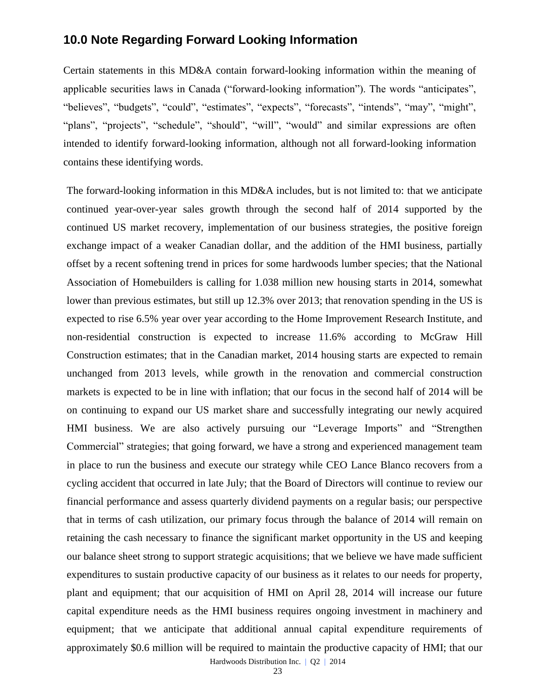## **10.0 Note Regarding Forward Looking Information**

Certain statements in this MD&A contain forward-looking information within the meaning of applicable securities laws in Canada ("forward-looking information"). The words "anticipates", "believes", "budgets", "could", "estimates", "expects", "forecasts", "intends", "may", "might", "plans", "projects", "schedule", "should", "will", "would" and similar expressions are often intended to identify forward-looking information, although not all forward-looking information contains these identifying words.

The forward-looking information in this MD&A includes, but is not limited to: that we anticipate continued year-over-year sales growth through the second half of 2014 supported by the continued US market recovery, implementation of our business strategies, the positive foreign exchange impact of a weaker Canadian dollar, and the addition of the HMI business, partially offset by a recent softening trend in prices for some hardwoods lumber species; that the National Association of Homebuilders is calling for 1.038 million new housing starts in 2014, somewhat lower than previous estimates, but still up 12.3% over 2013; that renovation spending in the US is expected to rise 6.5% year over year according to the Home Improvement Research Institute, and non-residential construction is expected to increase 11.6% according to McGraw Hill Construction estimates; that in the Canadian market, 2014 housing starts are expected to remain unchanged from 2013 levels, while growth in the renovation and commercial construction markets is expected to be in line with inflation; that our focus in the second half of 2014 will be on continuing to expand our US market share and successfully integrating our newly acquired HMI business. We are also actively pursuing our "Leverage Imports" and "Strengthen Commercial" strategies; that going forward, we have a strong and experienced management team in place to run the business and execute our strategy while CEO Lance Blanco recovers from a cycling accident that occurred in late July; that the Board of Directors will continue to review our financial performance and assess quarterly dividend payments on a regular basis; our perspective that in terms of cash utilization, our primary focus through the balance of 2014 will remain on retaining the cash necessary to finance the significant market opportunity in the US and keeping our balance sheet strong to support strategic acquisitions; that we believe we have made sufficient expenditures to sustain productive capacity of our business as it relates to our needs for property, plant and equipment; that our acquisition of HMI on April 28, 2014 will increase our future capital expenditure needs as the HMI business requires ongoing investment in machinery and equipment; that we anticipate that additional annual capital expenditure requirements of approximately \$0.6 million will be required to maintain the productive capacity of HMI; that our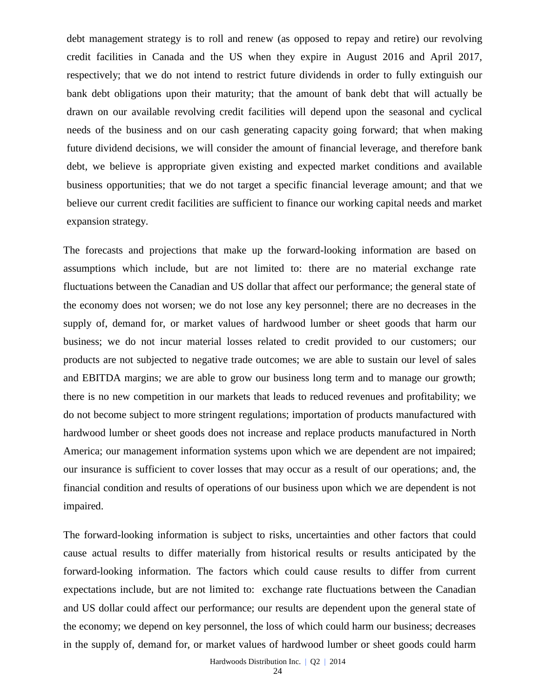debt management strategy is to roll and renew (as opposed to repay and retire) our revolving credit facilities in Canada and the US when they expire in August 2016 and April 2017, respectively; that we do not intend to restrict future dividends in order to fully extinguish our bank debt obligations upon their maturity; that the amount of bank debt that will actually be drawn on our available revolving credit facilities will depend upon the seasonal and cyclical needs of the business and on our cash generating capacity going forward; that when making future dividend decisions, we will consider the amount of financial leverage, and therefore bank debt, we believe is appropriate given existing and expected market conditions and available business opportunities; that we do not target a specific financial leverage amount; and that we believe our current credit facilities are sufficient to finance our working capital needs and market expansion strategy.

The forecasts and projections that make up the forward-looking information are based on assumptions which include, but are not limited to: there are no material exchange rate fluctuations between the Canadian and US dollar that affect our performance; the general state of the economy does not worsen; we do not lose any key personnel; there are no decreases in the supply of, demand for, or market values of hardwood lumber or sheet goods that harm our business; we do not incur material losses related to credit provided to our customers; our products are not subjected to negative trade outcomes; we are able to sustain our level of sales and EBITDA margins; we are able to grow our business long term and to manage our growth; there is no new competition in our markets that leads to reduced revenues and profitability; we do not become subject to more stringent regulations; importation of products manufactured with hardwood lumber or sheet goods does not increase and replace products manufactured in North America; our management information systems upon which we are dependent are not impaired; our insurance is sufficient to cover losses that may occur as a result of our operations; and, the financial condition and results of operations of our business upon which we are dependent is not impaired.

The forward-looking information is subject to risks, uncertainties and other factors that could cause actual results to differ materially from historical results or results anticipated by the forward-looking information. The factors which could cause results to differ from current expectations include, but are not limited to: exchange rate fluctuations between the Canadian and US dollar could affect our performance; our results are dependent upon the general state of the economy; we depend on key personnel, the loss of which could harm our business; decreases in the supply of, demand for, or market values of hardwood lumber or sheet goods could harm